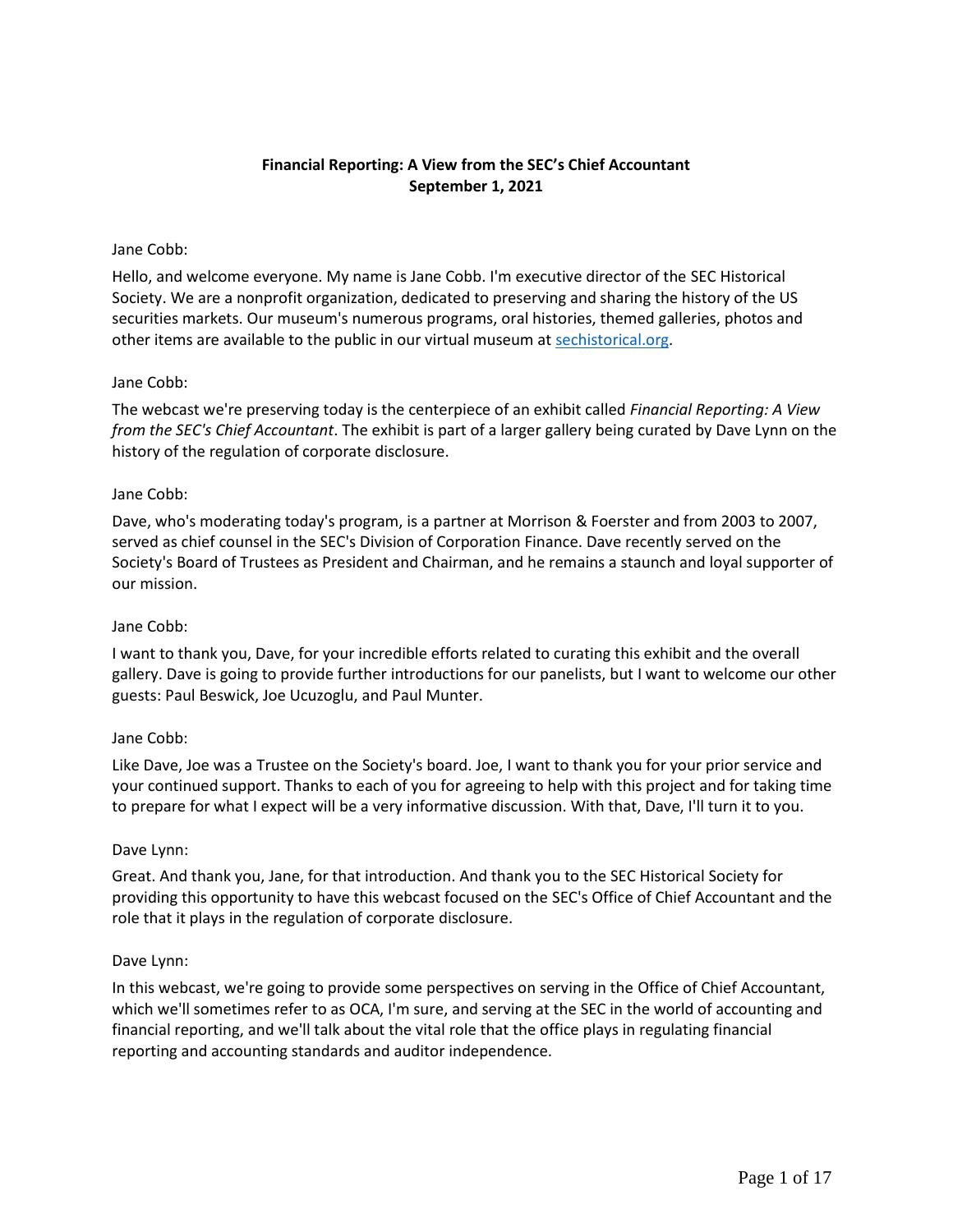# **Financial Reporting: A View from the SEC's Chief Accountant September 1, 2021**

### Jane Cobb:

Hello, and welcome everyone. My name is Jane Cobb. I'm executive director of the SEC Historical Society. We are a nonprofit organization, dedicated to preserving and sharing the history of the US securities markets. Our museum's numerous programs, oral histories, themed galleries, photos and other items are available to the public in our virtual museum at [sechistorical.org.](http://www.sechistorical.org/)

### Jane Cobb:

The webcast we're preserving today is the centerpiece of an exhibit called *Financial Reporting: A View from the SEC's Chief Accountant*. The exhibit is part of a larger gallery being curated by Dave Lynn on the history of the regulation of corporate disclosure.

### Jane Cobb:

Dave, who's moderating today's program, is a partner at Morrison & Foerster and from 2003 to 2007, served as chief counsel in the SEC's Division of Corporation Finance. Dave recently served on the Society's Board of Trustees as President and Chairman, and he remains a staunch and loyal supporter of our mission.

#### Jane Cobb:

I want to thank you, Dave, for your incredible efforts related to curating this exhibit and the overall gallery. Dave is going to provide further introductions for our panelists, but I want to welcome our other guests: Paul Beswick, Joe Ucuzoglu, and Paul Munter.

#### Jane Cobb:

Like Dave, Joe was a Trustee on the Society's board. Joe, I want to thank you for your prior service and your continued support. Thanks to each of you for agreeing to help with this project and for taking time to prepare for what I expect will be a very informative discussion. With that, Dave, I'll turn it to you.

#### Dave Lynn:

Great. And thank you, Jane, for that introduction. And thank you to the SEC Historical Society for providing this opportunity to have this webcast focused on the SEC's Office of Chief Accountant and the role that it plays in the regulation of corporate disclosure.

#### Dave Lynn:

In this webcast, we're going to provide some perspectives on serving in the Office of Chief Accountant, which we'll sometimes refer to as OCA, I'm sure, and serving at the SEC in the world of accounting and financial reporting, and we'll talk about the vital role that the office plays in regulating financial reporting and accounting standards and auditor independence.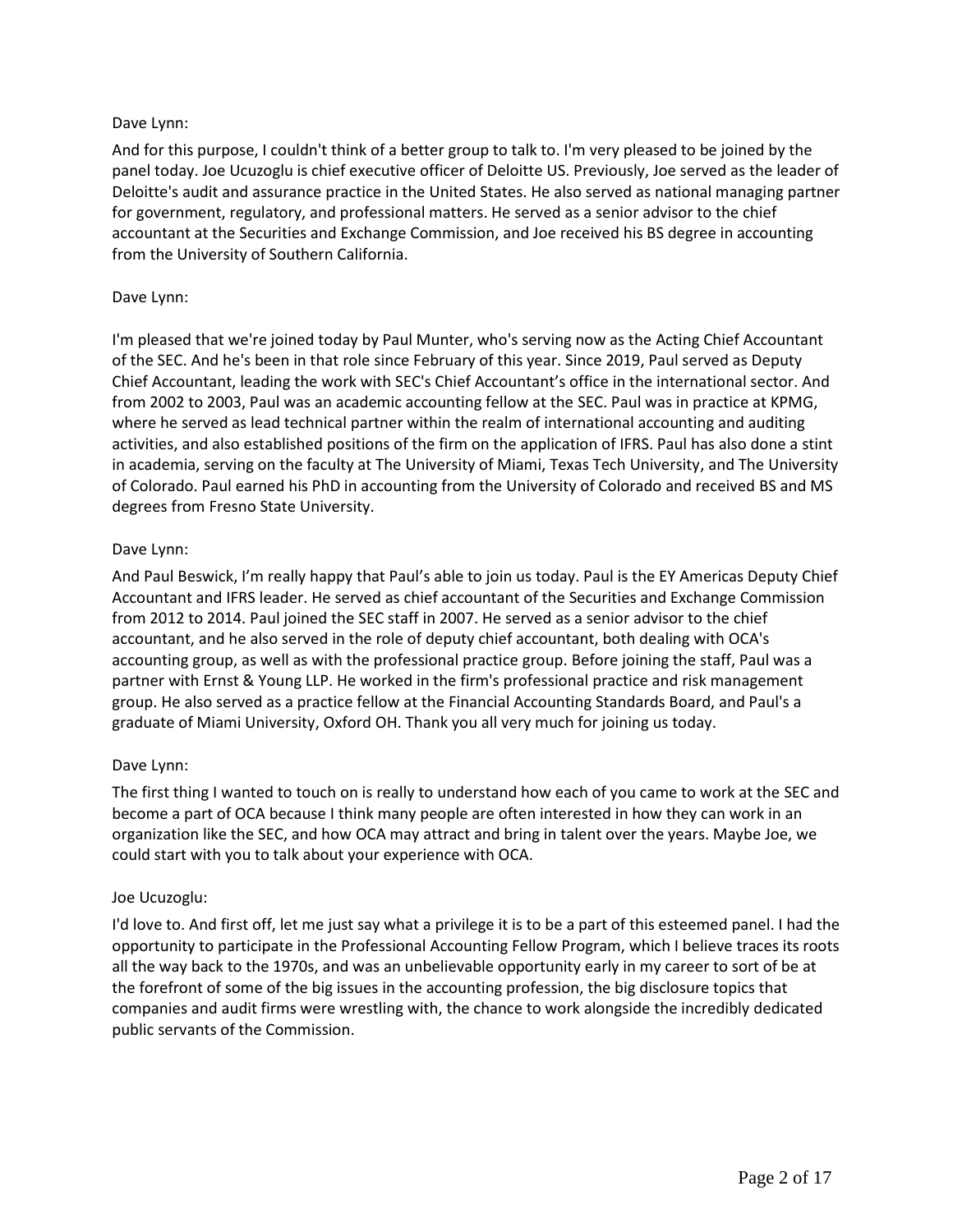# Dave Lynn:

And for this purpose, I couldn't think of a better group to talk to. I'm very pleased to be joined by the panel today. Joe Ucuzoglu is chief executive officer of Deloitte US. Previously, Joe served as the leader of Deloitte's audit and assurance practice in the United States. He also served as national managing partner for government, regulatory, and professional matters. He served as a senior advisor to the chief accountant at the Securities and Exchange Commission, and Joe received his BS degree in accounting from the University of Southern California.

### Dave Lynn:

I'm pleased that we're joined today by Paul Munter, who's serving now as the Acting Chief Accountant of the SEC. And he's been in that role since February of this year. Since 2019, Paul served as Deputy Chief Accountant, leading the work with SEC's Chief Accountant's office in the international sector. And from 2002 to 2003, Paul was an academic accounting fellow at the SEC. Paul was in practice at KPMG, where he served as lead technical partner within the realm of international accounting and auditing activities, and also established positions of the firm on the application of IFRS. Paul has also done a stint in academia, serving on the faculty at The University of Miami, Texas Tech University, and The University of Colorado. Paul earned his PhD in accounting from the University of Colorado and received BS and MS degrees from Fresno State University.

## Dave Lynn:

And Paul Beswick, I'm really happy that Paul's able to join us today. Paul is the EY Americas Deputy Chief Accountant and IFRS leader. He served as chief accountant of the Securities and Exchange Commission from 2012 to 2014. Paul joined the SEC staff in 2007. He served as a senior advisor to the chief accountant, and he also served in the role of deputy chief accountant, both dealing with OCA's accounting group, as well as with the professional practice group. Before joining the staff, Paul was a partner with Ernst & Young LLP. He worked in the firm's professional practice and risk management group. He also served as a practice fellow at the Financial Accounting Standards Board, and Paul's a graduate of Miami University, Oxford OH. Thank you all very much for joining us today.

## Dave Lynn:

The first thing I wanted to touch on is really to understand how each of you came to work at the SEC and become a part of OCA because I think many people are often interested in how they can work in an organization like the SEC, and how OCA may attract and bring in talent over the years. Maybe Joe, we could start with you to talk about your experience with OCA.

## Joe Ucuzoglu:

I'd love to. And first off, let me just say what a privilege it is to be a part of this esteemed panel. I had the opportunity to participate in the Professional Accounting Fellow Program, which I believe traces its roots all the way back to the 1970s, and was an unbelievable opportunity early in my career to sort of be at the forefront of some of the big issues in the accounting profession, the big disclosure topics that companies and audit firms were wrestling with, the chance to work alongside the incredibly dedicated public servants of the Commission.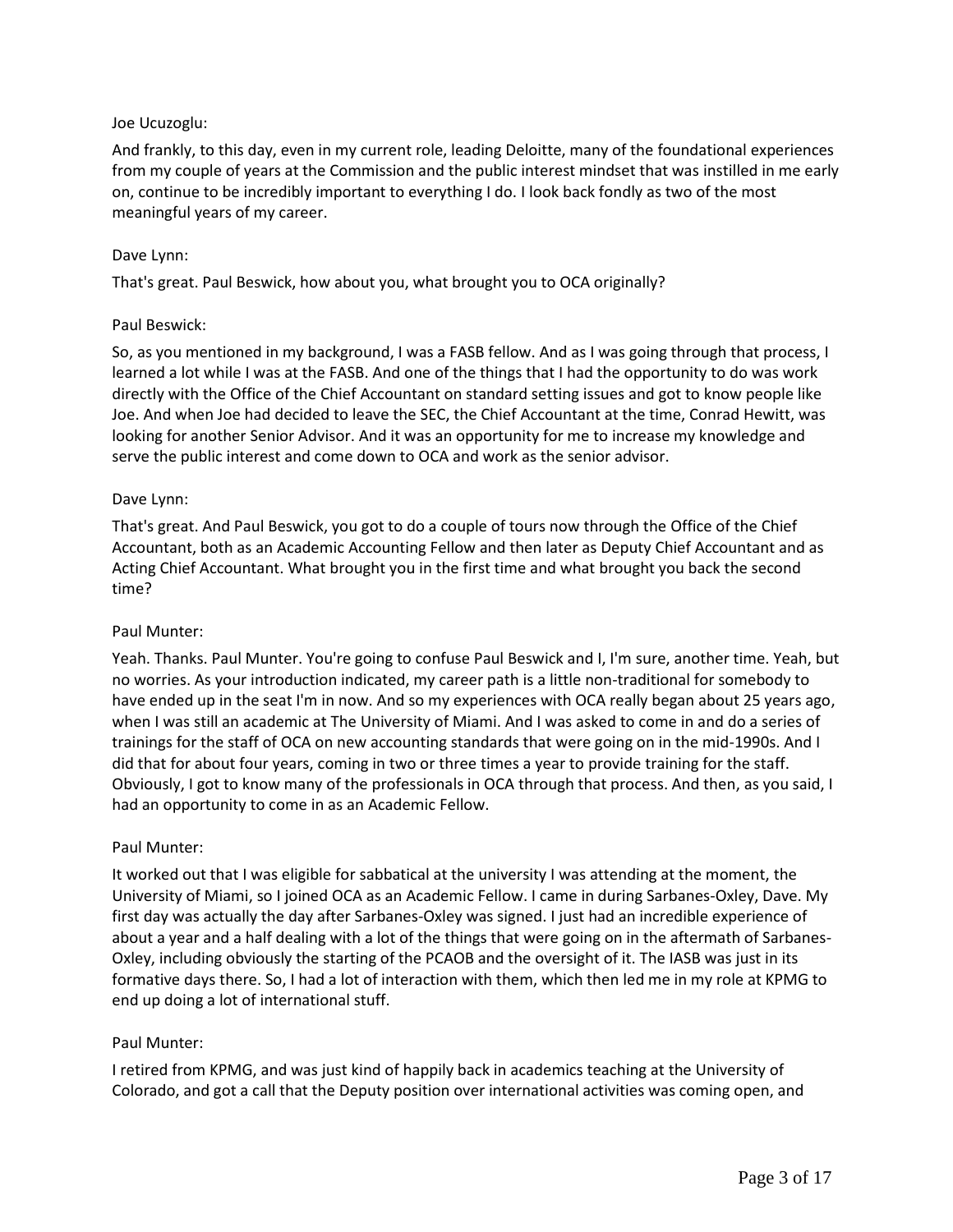# Joe Ucuzoglu:

And frankly, to this day, even in my current role, leading Deloitte, many of the foundational experiences from my couple of years at the Commission and the public interest mindset that was instilled in me early on, continue to be incredibly important to everything I do. I look back fondly as two of the most meaningful years of my career.

## Dave Lynn:

That's great. Paul Beswick, how about you, what brought you to OCA originally?

## Paul Beswick:

So, as you mentioned in my background, I was a FASB fellow. And as I was going through that process, I learned a lot while I was at the FASB. And one of the things that I had the opportunity to do was work directly with the Office of the Chief Accountant on standard setting issues and got to know people like Joe. And when Joe had decided to leave the SEC, the Chief Accountant at the time, Conrad Hewitt, was looking for another Senior Advisor. And it was an opportunity for me to increase my knowledge and serve the public interest and come down to OCA and work as the senior advisor.

### Dave Lynn:

That's great. And Paul Beswick, you got to do a couple of tours now through the Office of the Chief Accountant, both as an Academic Accounting Fellow and then later as Deputy Chief Accountant and as Acting Chief Accountant. What brought you in the first time and what brought you back the second time?

#### Paul Munter:

Yeah. Thanks. Paul Munter. You're going to confuse Paul Beswick and I, I'm sure, another time. Yeah, but no worries. As your introduction indicated, my career path is a little non-traditional for somebody to have ended up in the seat I'm in now. And so my experiences with OCA really began about 25 years ago, when I was still an academic at The University of Miami. And I was asked to come in and do a series of trainings for the staff of OCA on new accounting standards that were going on in the mid-1990s. And I did that for about four years, coming in two or three times a year to provide training for the staff. Obviously, I got to know many of the professionals in OCA through that process. And then, as you said, I had an opportunity to come in as an Academic Fellow.

#### Paul Munter:

It worked out that I was eligible for sabbatical at the university I was attending at the moment, the University of Miami, so I joined OCA as an Academic Fellow. I came in during Sarbanes-Oxley, Dave. My first day was actually the day after Sarbanes-Oxley was signed. I just had an incredible experience of about a year and a half dealing with a lot of the things that were going on in the aftermath of Sarbanes-Oxley, including obviously the starting of the PCAOB and the oversight of it. The IASB was just in its formative days there. So, I had a lot of interaction with them, which then led me in my role at KPMG to end up doing a lot of international stuff.

## Paul Munter:

I retired from KPMG, and was just kind of happily back in academics teaching at the University of Colorado, and got a call that the Deputy position over international activities was coming open, and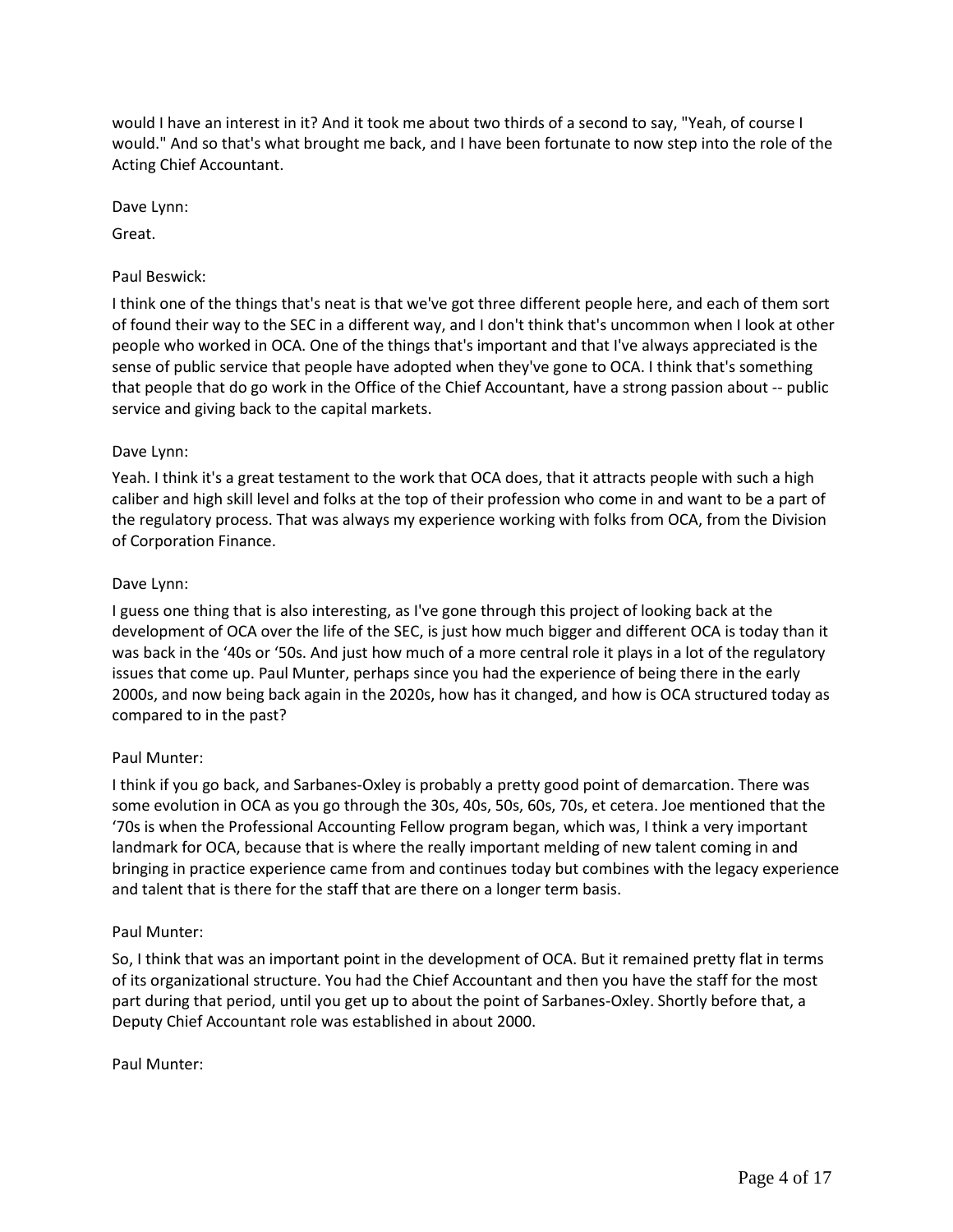would I have an interest in it? And it took me about two thirds of a second to say, "Yeah, of course I would." And so that's what brought me back, and I have been fortunate to now step into the role of the Acting Chief Accountant.

Dave Lynn:

Great.

### Paul Beswick:

I think one of the things that's neat is that we've got three different people here, and each of them sort of found their way to the SEC in a different way, and I don't think that's uncommon when I look at other people who worked in OCA. One of the things that's important and that I've always appreciated is the sense of public service that people have adopted when they've gone to OCA. I think that's something that people that do go work in the Office of the Chief Accountant, have a strong passion about -- public service and giving back to the capital markets.

### Dave Lynn:

Yeah. I think it's a great testament to the work that OCA does, that it attracts people with such a high caliber and high skill level and folks at the top of their profession who come in and want to be a part of the regulatory process. That was always my experience working with folks from OCA, from the Division of Corporation Finance.

### Dave Lynn:

I guess one thing that is also interesting, as I've gone through this project of looking back at the development of OCA over the life of the SEC, is just how much bigger and different OCA is today than it was back in the '40s or '50s. And just how much of a more central role it plays in a lot of the regulatory issues that come up. Paul Munter, perhaps since you had the experience of being there in the early 2000s, and now being back again in the 2020s, how has it changed, and how is OCA structured today as compared to in the past?

## Paul Munter:

I think if you go back, and Sarbanes-Oxley is probably a pretty good point of demarcation. There was some evolution in OCA as you go through the 30s, 40s, 50s, 60s, 70s, et cetera. Joe mentioned that the '70s is when the Professional Accounting Fellow program began, which was, I think a very important landmark for OCA, because that is where the really important melding of new talent coming in and bringing in practice experience came from and continues today but combines with the legacy experience and talent that is there for the staff that are there on a longer term basis.

#### Paul Munter:

So, I think that was an important point in the development of OCA. But it remained pretty flat in terms of its organizational structure. You had the Chief Accountant and then you have the staff for the most part during that period, until you get up to about the point of Sarbanes-Oxley. Shortly before that, a Deputy Chief Accountant role was established in about 2000.

#### Paul Munter: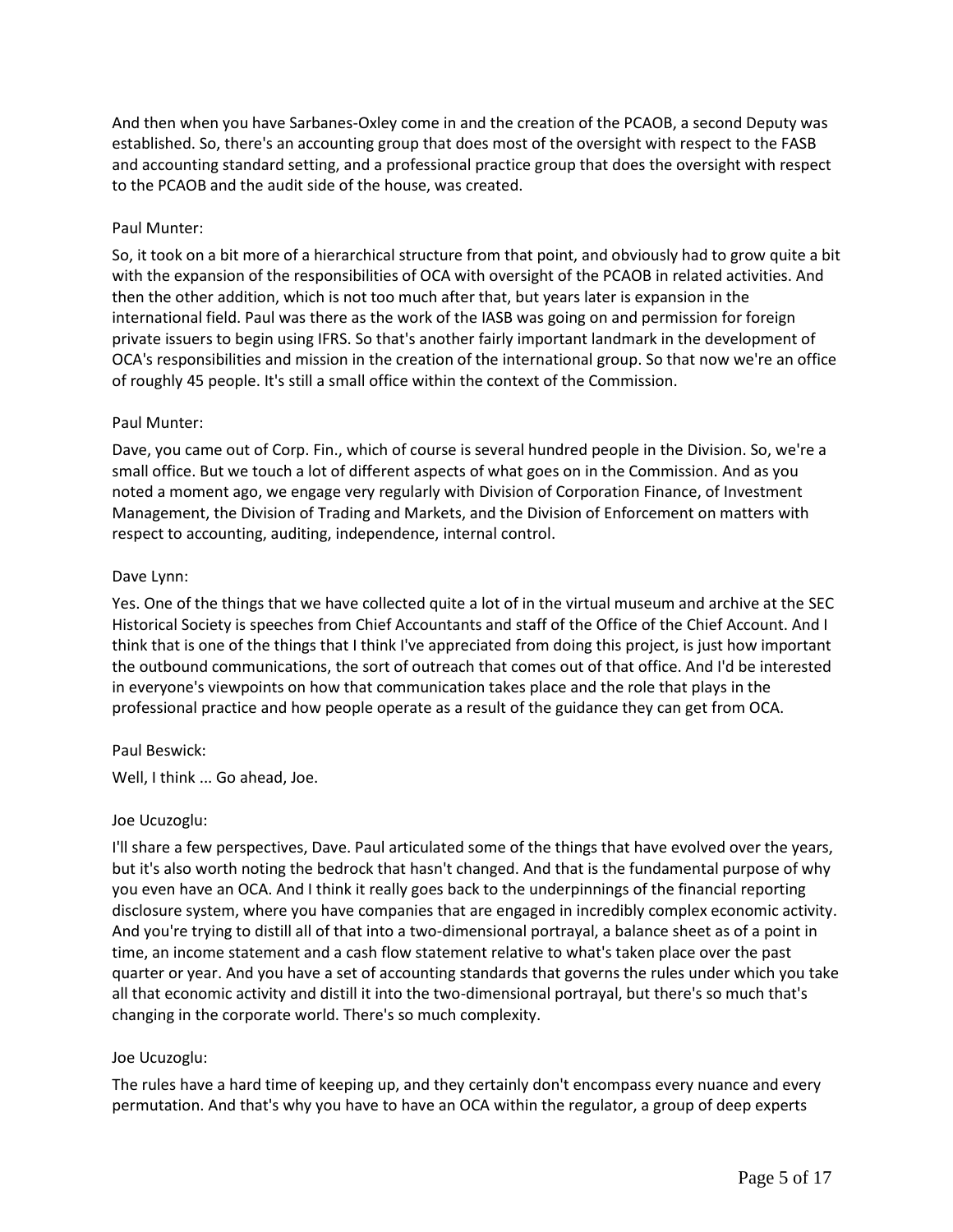And then when you have Sarbanes-Oxley come in and the creation of the PCAOB, a second Deputy was established. So, there's an accounting group that does most of the oversight with respect to the FASB and accounting standard setting, and a professional practice group that does the oversight with respect to the PCAOB and the audit side of the house, was created.

## Paul Munter:

So, it took on a bit more of a hierarchical structure from that point, and obviously had to grow quite a bit with the expansion of the responsibilities of OCA with oversight of the PCAOB in related activities. And then the other addition, which is not too much after that, but years later is expansion in the international field. Paul was there as the work of the IASB was going on and permission for foreign private issuers to begin using IFRS. So that's another fairly important landmark in the development of OCA's responsibilities and mission in the creation of the international group. So that now we're an office of roughly 45 people. It's still a small office within the context of the Commission.

### Paul Munter:

Dave, you came out of Corp. Fin., which of course is several hundred people in the Division. So, we're a small office. But we touch a lot of different aspects of what goes on in the Commission. And as you noted a moment ago, we engage very regularly with Division of Corporation Finance, of Investment Management, the Division of Trading and Markets, and the Division of Enforcement on matters with respect to accounting, auditing, independence, internal control.

### Dave Lynn:

Yes. One of the things that we have collected quite a lot of in the virtual museum and archive at the SEC Historical Society is speeches from Chief Accountants and staff of the Office of the Chief Account. And I think that is one of the things that I think I've appreciated from doing this project, is just how important the outbound communications, the sort of outreach that comes out of that office. And I'd be interested in everyone's viewpoints on how that communication takes place and the role that plays in the professional practice and how people operate as a result of the guidance they can get from OCA.

#### Paul Beswick:

Well, I think ... Go ahead, Joe.

#### Joe Ucuzoglu:

I'll share a few perspectives, Dave. Paul articulated some of the things that have evolved over the years, but it's also worth noting the bedrock that hasn't changed. And that is the fundamental purpose of why you even have an OCA. And I think it really goes back to the underpinnings of the financial reporting disclosure system, where you have companies that are engaged in incredibly complex economic activity. And you're trying to distill all of that into a two-dimensional portrayal, a balance sheet as of a point in time, an income statement and a cash flow statement relative to what's taken place over the past quarter or year. And you have a set of accounting standards that governs the rules under which you take all that economic activity and distill it into the two-dimensional portrayal, but there's so much that's changing in the corporate world. There's so much complexity.

#### Joe Ucuzoglu:

The rules have a hard time of keeping up, and they certainly don't encompass every nuance and every permutation. And that's why you have to have an OCA within the regulator, a group of deep experts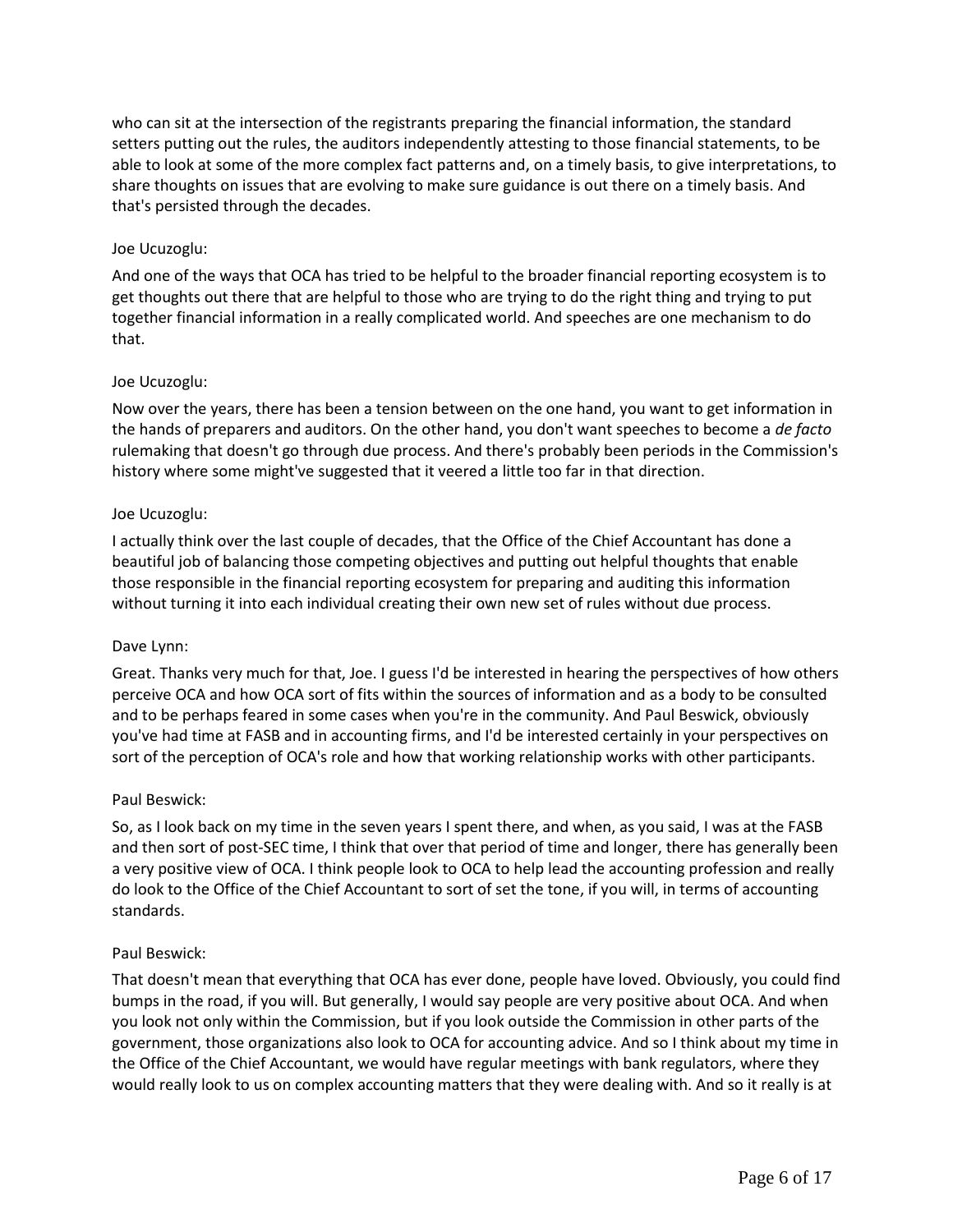who can sit at the intersection of the registrants preparing the financial information, the standard setters putting out the rules, the auditors independently attesting to those financial statements, to be able to look at some of the more complex fact patterns and, on a timely basis, to give interpretations, to share thoughts on issues that are evolving to make sure guidance is out there on a timely basis. And that's persisted through the decades.

## Joe Ucuzoglu:

And one of the ways that OCA has tried to be helpful to the broader financial reporting ecosystem is to get thoughts out there that are helpful to those who are trying to do the right thing and trying to put together financial information in a really complicated world. And speeches are one mechanism to do that.

## Joe Ucuzoglu:

Now over the years, there has been a tension between on the one hand, you want to get information in the hands of preparers and auditors. On the other hand, you don't want speeches to become a *de facto* rulemaking that doesn't go through due process. And there's probably been periods in the Commission's history where some might've suggested that it veered a little too far in that direction.

## Joe Ucuzoglu:

I actually think over the last couple of decades, that the Office of the Chief Accountant has done a beautiful job of balancing those competing objectives and putting out helpful thoughts that enable those responsible in the financial reporting ecosystem for preparing and auditing this information without turning it into each individual creating their own new set of rules without due process.

## Dave Lynn:

Great. Thanks very much for that, Joe. I guess I'd be interested in hearing the perspectives of how others perceive OCA and how OCA sort of fits within the sources of information and as a body to be consulted and to be perhaps feared in some cases when you're in the community. And Paul Beswick, obviously you've had time at FASB and in accounting firms, and I'd be interested certainly in your perspectives on sort of the perception of OCA's role and how that working relationship works with other participants.

## Paul Beswick:

So, as I look back on my time in the seven years I spent there, and when, as you said, I was at the FASB and then sort of post-SEC time, I think that over that period of time and longer, there has generally been a very positive view of OCA. I think people look to OCA to help lead the accounting profession and really do look to the Office of the Chief Accountant to sort of set the tone, if you will, in terms of accounting standards.

## Paul Beswick:

That doesn't mean that everything that OCA has ever done, people have loved. Obviously, you could find bumps in the road, if you will. But generally, I would say people are very positive about OCA. And when you look not only within the Commission, but if you look outside the Commission in other parts of the government, those organizations also look to OCA for accounting advice. And so I think about my time in the Office of the Chief Accountant, we would have regular meetings with bank regulators, where they would really look to us on complex accounting matters that they were dealing with. And so it really is at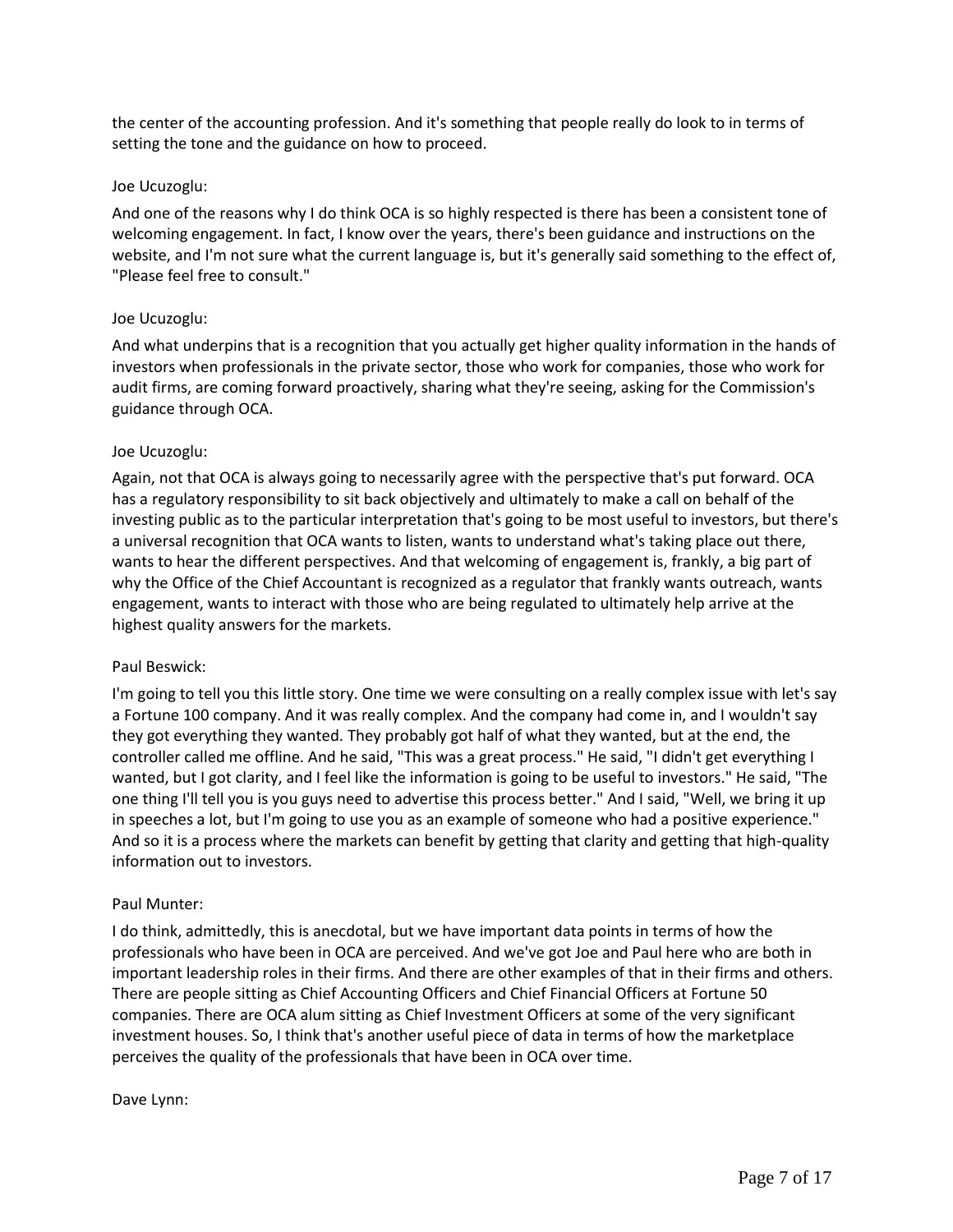the center of the accounting profession. And it's something that people really do look to in terms of setting the tone and the guidance on how to proceed.

### Joe Ucuzoglu:

And one of the reasons why I do think OCA is so highly respected is there has been a consistent tone of welcoming engagement. In fact, I know over the years, there's been guidance and instructions on the website, and I'm not sure what the current language is, but it's generally said something to the effect of, "Please feel free to consult."

### Joe Ucuzoglu:

And what underpins that is a recognition that you actually get higher quality information in the hands of investors when professionals in the private sector, those who work for companies, those who work for audit firms, are coming forward proactively, sharing what they're seeing, asking for the Commission's guidance through OCA.

### Joe Ucuzoglu:

Again, not that OCA is always going to necessarily agree with the perspective that's put forward. OCA has a regulatory responsibility to sit back objectively and ultimately to make a call on behalf of the investing public as to the particular interpretation that's going to be most useful to investors, but there's a universal recognition that OCA wants to listen, wants to understand what's taking place out there, wants to hear the different perspectives. And that welcoming of engagement is, frankly, a big part of why the Office of the Chief Accountant is recognized as a regulator that frankly wants outreach, wants engagement, wants to interact with those who are being regulated to ultimately help arrive at the highest quality answers for the markets.

#### Paul Beswick:

I'm going to tell you this little story. One time we were consulting on a really complex issue with let's say a Fortune 100 company. And it was really complex. And the company had come in, and I wouldn't say they got everything they wanted. They probably got half of what they wanted, but at the end, the controller called me offline. And he said, "This was a great process." He said, "I didn't get everything I wanted, but I got clarity, and I feel like the information is going to be useful to investors." He said, "The one thing I'll tell you is you guys need to advertise this process better." And I said, "Well, we bring it up in speeches a lot, but I'm going to use you as an example of someone who had a positive experience." And so it is a process where the markets can benefit by getting that clarity and getting that high-quality information out to investors.

#### Paul Munter:

I do think, admittedly, this is anecdotal, but we have important data points in terms of how the professionals who have been in OCA are perceived. And we've got Joe and Paul here who are both in important leadership roles in their firms. And there are other examples of that in their firms and others. There are people sitting as Chief Accounting Officers and Chief Financial Officers at Fortune 50 companies. There are OCA alum sitting as Chief Investment Officers at some of the very significant investment houses. So, I think that's another useful piece of data in terms of how the marketplace perceives the quality of the professionals that have been in OCA over time.

#### Dave Lynn: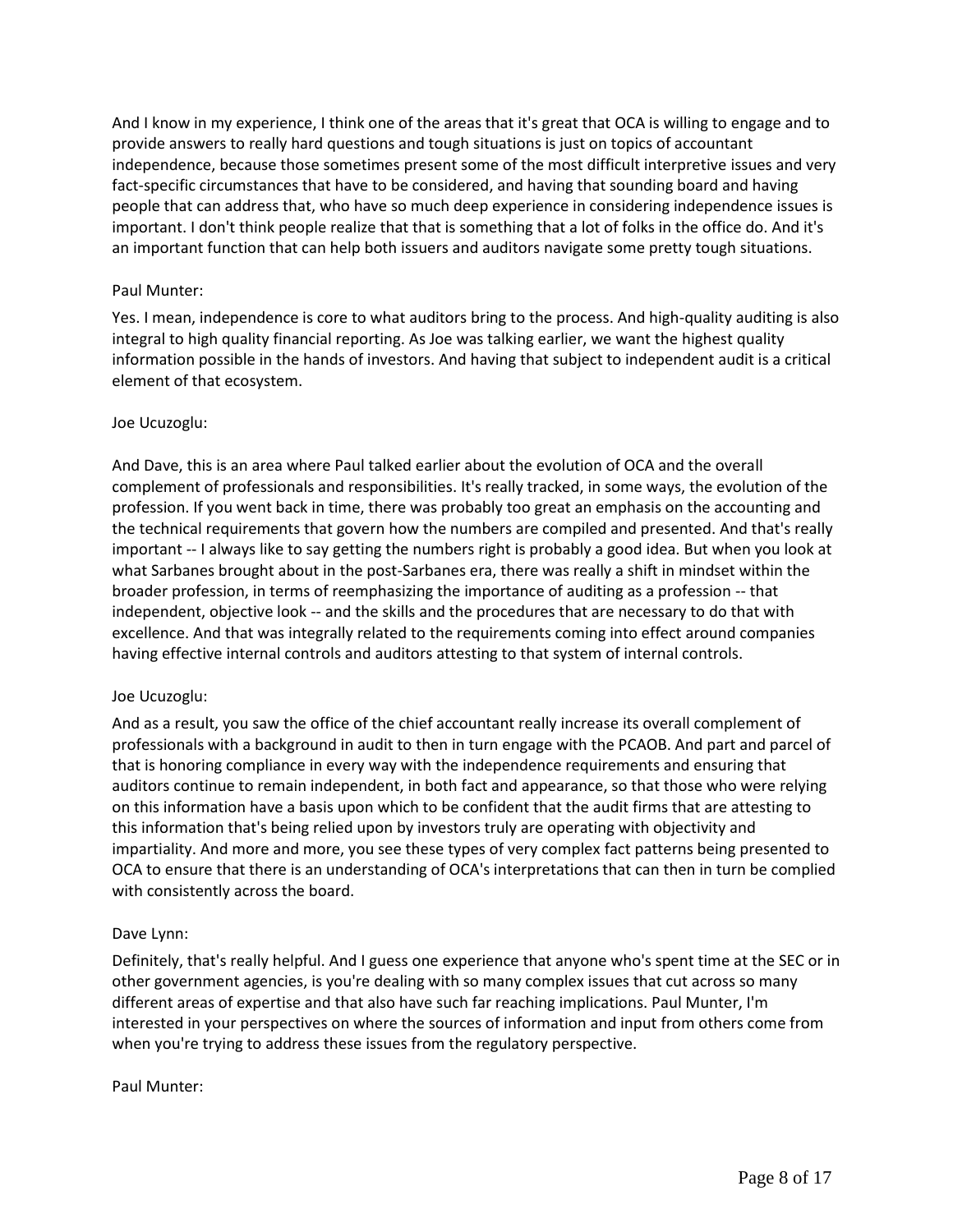And I know in my experience, I think one of the areas that it's great that OCA is willing to engage and to provide answers to really hard questions and tough situations is just on topics of accountant independence, because those sometimes present some of the most difficult interpretive issues and very fact-specific circumstances that have to be considered, and having that sounding board and having people that can address that, who have so much deep experience in considering independence issues is important. I don't think people realize that that is something that a lot of folks in the office do. And it's an important function that can help both issuers and auditors navigate some pretty tough situations.

## Paul Munter:

Yes. I mean, independence is core to what auditors bring to the process. And high-quality auditing is also integral to high quality financial reporting. As Joe was talking earlier, we want the highest quality information possible in the hands of investors. And having that subject to independent audit is a critical element of that ecosystem.

### Joe Ucuzoglu:

And Dave, this is an area where Paul talked earlier about the evolution of OCA and the overall complement of professionals and responsibilities. It's really tracked, in some ways, the evolution of the profession. If you went back in time, there was probably too great an emphasis on the accounting and the technical requirements that govern how the numbers are compiled and presented. And that's really important -- I always like to say getting the numbers right is probably a good idea. But when you look at what Sarbanes brought about in the post-Sarbanes era, there was really a shift in mindset within the broader profession, in terms of reemphasizing the importance of auditing as a profession -- that independent, objective look -- and the skills and the procedures that are necessary to do that with excellence. And that was integrally related to the requirements coming into effect around companies having effective internal controls and auditors attesting to that system of internal controls.

#### Joe Ucuzoglu:

And as a result, you saw the office of the chief accountant really increase its overall complement of professionals with a background in audit to then in turn engage with the PCAOB. And part and parcel of that is honoring compliance in every way with the independence requirements and ensuring that auditors continue to remain independent, in both fact and appearance, so that those who were relying on this information have a basis upon which to be confident that the audit firms that are attesting to this information that's being relied upon by investors truly are operating with objectivity and impartiality. And more and more, you see these types of very complex fact patterns being presented to OCA to ensure that there is an understanding of OCA's interpretations that can then in turn be complied with consistently across the board.

#### Dave Lynn:

Definitely, that's really helpful. And I guess one experience that anyone who's spent time at the SEC or in other government agencies, is you're dealing with so many complex issues that cut across so many different areas of expertise and that also have such far reaching implications. Paul Munter, I'm interested in your perspectives on where the sources of information and input from others come from when you're trying to address these issues from the regulatory perspective.

#### Paul Munter: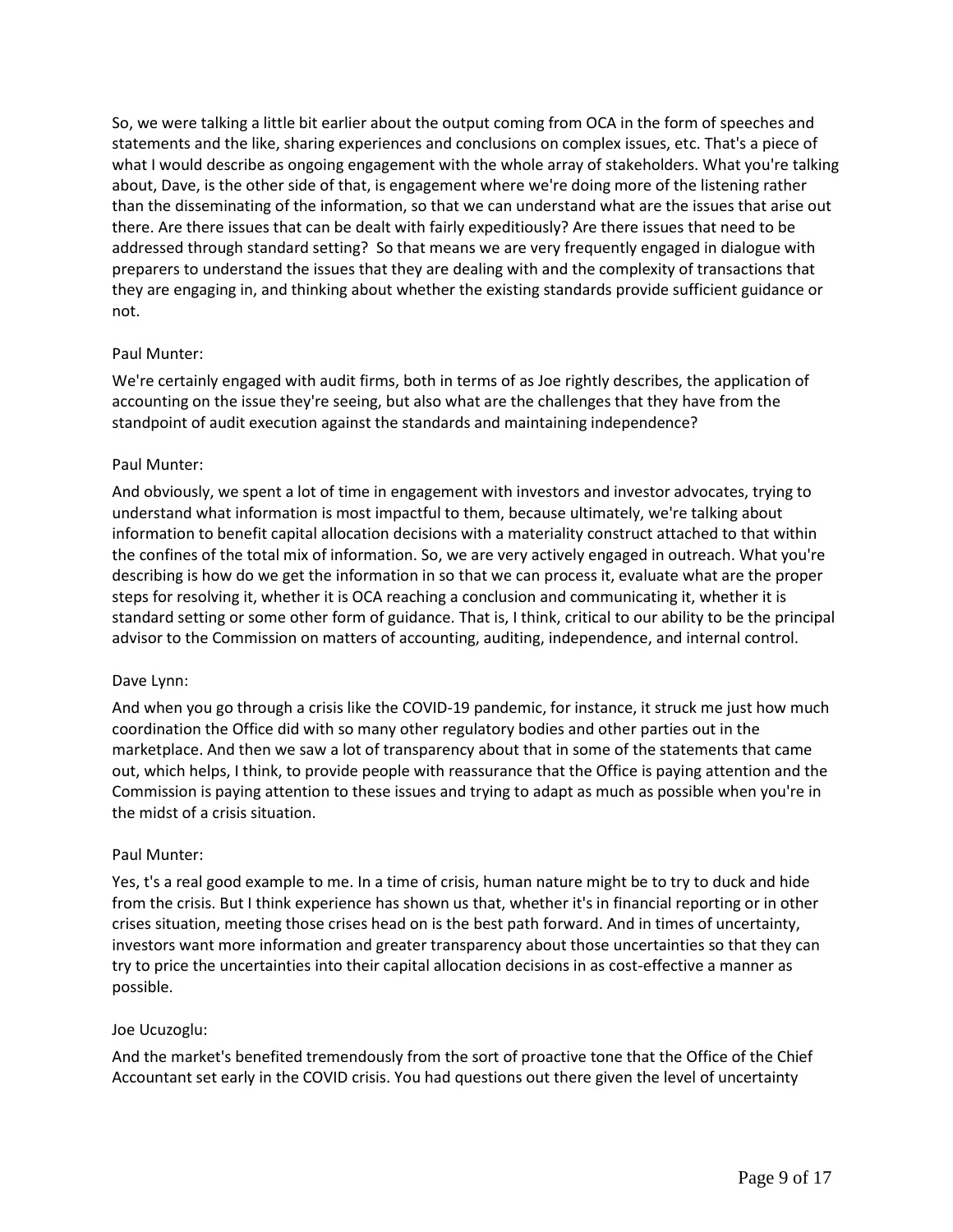So, we were talking a little bit earlier about the output coming from OCA in the form of speeches and statements and the like, sharing experiences and conclusions on complex issues, etc. That's a piece of what I would describe as ongoing engagement with the whole array of stakeholders. What you're talking about, Dave, is the other side of that, is engagement where we're doing more of the listening rather than the disseminating of the information, so that we can understand what are the issues that arise out there. Are there issues that can be dealt with fairly expeditiously? Are there issues that need to be addressed through standard setting? So that means we are very frequently engaged in dialogue with preparers to understand the issues that they are dealing with and the complexity of transactions that they are engaging in, and thinking about whether the existing standards provide sufficient guidance or not.

## Paul Munter:

We're certainly engaged with audit firms, both in terms of as Joe rightly describes, the application of accounting on the issue they're seeing, but also what are the challenges that they have from the standpoint of audit execution against the standards and maintaining independence?

### Paul Munter:

And obviously, we spent a lot of time in engagement with investors and investor advocates, trying to understand what information is most impactful to them, because ultimately, we're talking about information to benefit capital allocation decisions with a materiality construct attached to that within the confines of the total mix of information. So, we are very actively engaged in outreach. What you're describing is how do we get the information in so that we can process it, evaluate what are the proper steps for resolving it, whether it is OCA reaching a conclusion and communicating it, whether it is standard setting or some other form of guidance. That is, I think, critical to our ability to be the principal advisor to the Commission on matters of accounting, auditing, independence, and internal control.

#### Dave Lynn:

And when you go through a crisis like the COVID-19 pandemic, for instance, it struck me just how much coordination the Office did with so many other regulatory bodies and other parties out in the marketplace. And then we saw a lot of transparency about that in some of the statements that came out, which helps, I think, to provide people with reassurance that the Office is paying attention and the Commission is paying attention to these issues and trying to adapt as much as possible when you're in the midst of a crisis situation.

## Paul Munter:

Yes, t's a real good example to me. In a time of crisis, human nature might be to try to duck and hide from the crisis. But I think experience has shown us that, whether it's in financial reporting or in other crises situation, meeting those crises head on is the best path forward. And in times of uncertainty, investors want more information and greater transparency about those uncertainties so that they can try to price the uncertainties into their capital allocation decisions in as cost-effective a manner as possible.

#### Joe Ucuzoglu:

And the market's benefited tremendously from the sort of proactive tone that the Office of the Chief Accountant set early in the COVID crisis. You had questions out there given the level of uncertainty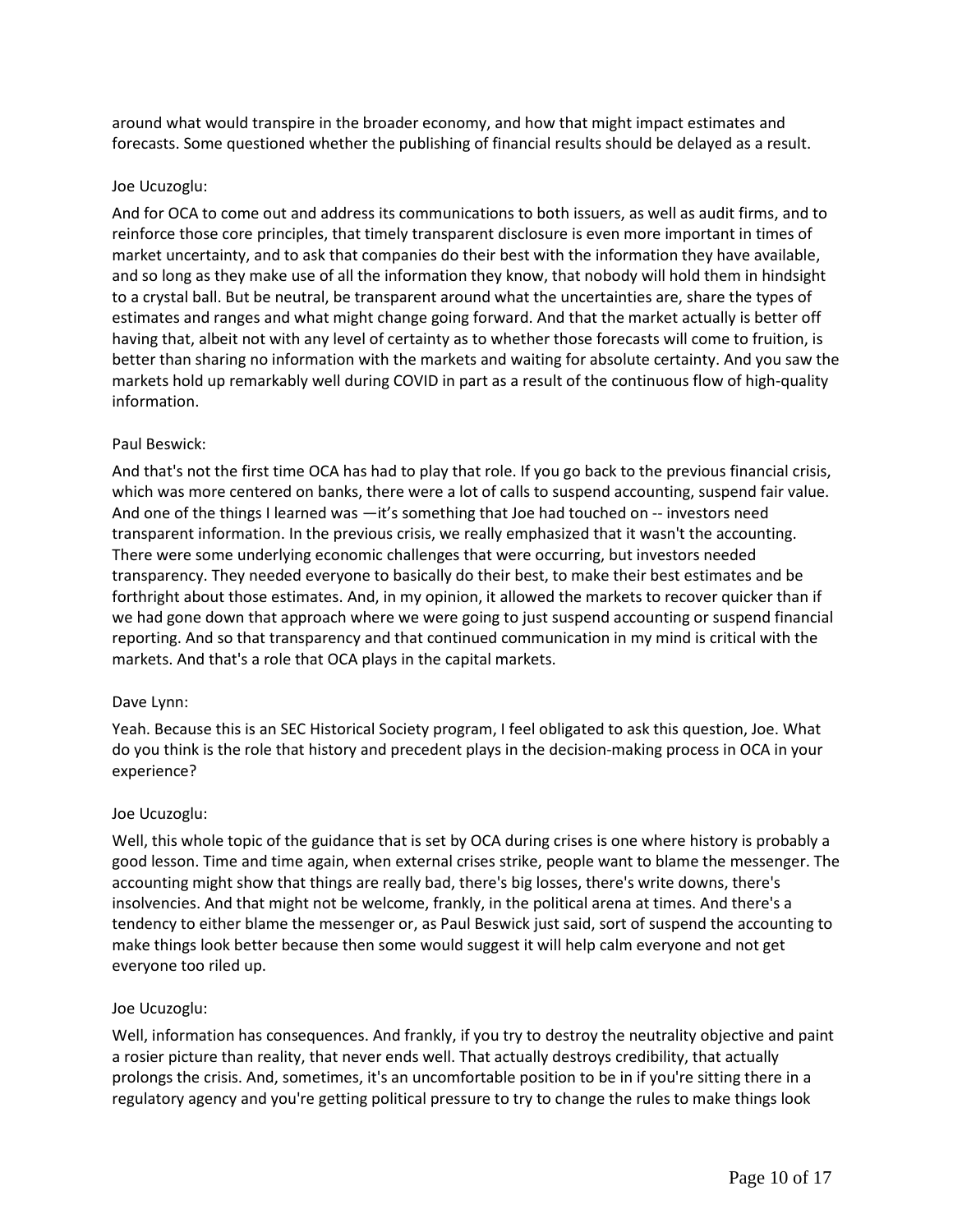around what would transpire in the broader economy, and how that might impact estimates and forecasts. Some questioned whether the publishing of financial results should be delayed as a result.

### Joe Ucuzoglu:

And for OCA to come out and address its communications to both issuers, as well as audit firms, and to reinforce those core principles, that timely transparent disclosure is even more important in times of market uncertainty, and to ask that companies do their best with the information they have available, and so long as they make use of all the information they know, that nobody will hold them in hindsight to a crystal ball. But be neutral, be transparent around what the uncertainties are, share the types of estimates and ranges and what might change going forward. And that the market actually is better off having that, albeit not with any level of certainty as to whether those forecasts will come to fruition, is better than sharing no information with the markets and waiting for absolute certainty. And you saw the markets hold up remarkably well during COVID in part as a result of the continuous flow of high-quality information.

### Paul Beswick:

And that's not the first time OCA has had to play that role. If you go back to the previous financial crisis, which was more centered on banks, there were a lot of calls to suspend accounting, suspend fair value. And one of the things I learned was —it's something that Joe had touched on -- investors need transparent information. In the previous crisis, we really emphasized that it wasn't the accounting. There were some underlying economic challenges that were occurring, but investors needed transparency. They needed everyone to basically do their best, to make their best estimates and be forthright about those estimates. And, in my opinion, it allowed the markets to recover quicker than if we had gone down that approach where we were going to just suspend accounting or suspend financial reporting. And so that transparency and that continued communication in my mind is critical with the markets. And that's a role that OCA plays in the capital markets.

## Dave Lynn:

Yeah. Because this is an SEC Historical Society program, I feel obligated to ask this question, Joe. What do you think is the role that history and precedent plays in the decision-making process in OCA in your experience?

## Joe Ucuzoglu:

Well, this whole topic of the guidance that is set by OCA during crises is one where history is probably a good lesson. Time and time again, when external crises strike, people want to blame the messenger. The accounting might show that things are really bad, there's big losses, there's write downs, there's insolvencies. And that might not be welcome, frankly, in the political arena at times. And there's a tendency to either blame the messenger or, as Paul Beswick just said, sort of suspend the accounting to make things look better because then some would suggest it will help calm everyone and not get everyone too riled up.

## Joe Ucuzoglu:

Well, information has consequences. And frankly, if you try to destroy the neutrality objective and paint a rosier picture than reality, that never ends well. That actually destroys credibility, that actually prolongs the crisis. And, sometimes, it's an uncomfortable position to be in if you're sitting there in a regulatory agency and you're getting political pressure to try to change the rules to make things look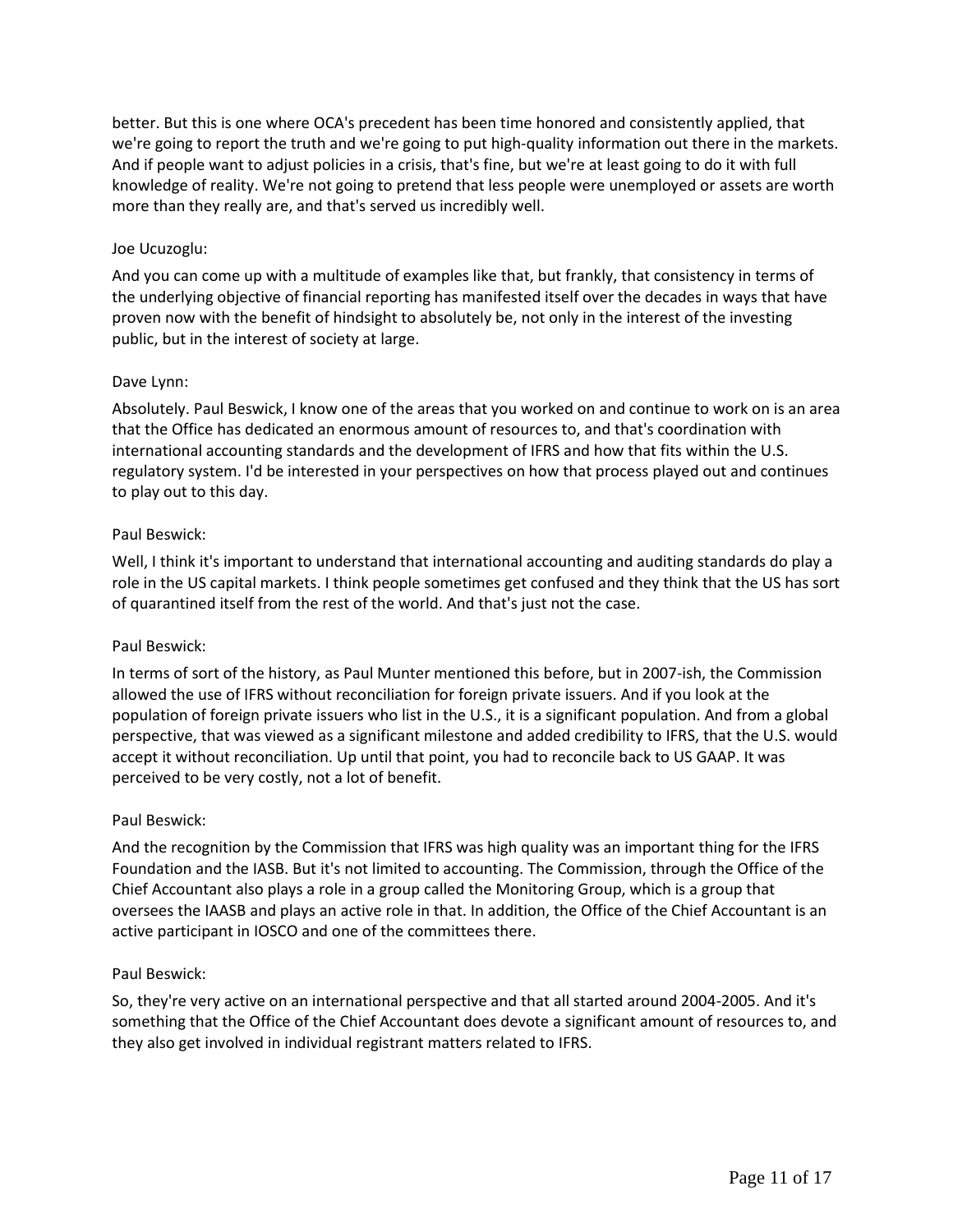better. But this is one where OCA's precedent has been time honored and consistently applied, that we're going to report the truth and we're going to put high-quality information out there in the markets. And if people want to adjust policies in a crisis, that's fine, but we're at least going to do it with full knowledge of reality. We're not going to pretend that less people were unemployed or assets are worth more than they really are, and that's served us incredibly well.

# Joe Ucuzoglu:

And you can come up with a multitude of examples like that, but frankly, that consistency in terms of the underlying objective of financial reporting has manifested itself over the decades in ways that have proven now with the benefit of hindsight to absolutely be, not only in the interest of the investing public, but in the interest of society at large.

# Dave Lynn:

Absolutely. Paul Beswick, I know one of the areas that you worked on and continue to work on is an area that the Office has dedicated an enormous amount of resources to, and that's coordination with international accounting standards and the development of IFRS and how that fits within the U.S. regulatory system. I'd be interested in your perspectives on how that process played out and continues to play out to this day.

# Paul Beswick:

Well, I think it's important to understand that international accounting and auditing standards do play a role in the US capital markets. I think people sometimes get confused and they think that the US has sort of quarantined itself from the rest of the world. And that's just not the case.

## Paul Beswick:

In terms of sort of the history, as Paul Munter mentioned this before, but in 2007-ish, the Commission allowed the use of IFRS without reconciliation for foreign private issuers. And if you look at the population of foreign private issuers who list in the U.S., it is a significant population. And from a global perspective, that was viewed as a significant milestone and added credibility to IFRS, that the U.S. would accept it without reconciliation. Up until that point, you had to reconcile back to US GAAP. It was perceived to be very costly, not a lot of benefit.

## Paul Beswick:

And the recognition by the Commission that IFRS was high quality was an important thing for the IFRS Foundation and the IASB. But it's not limited to accounting. The Commission, through the Office of the Chief Accountant also plays a role in a group called the Monitoring Group, which is a group that oversees the IAASB and plays an active role in that. In addition, the Office of the Chief Accountant is an active participant in IOSCO and one of the committees there.

## Paul Beswick:

So, they're very active on an international perspective and that all started around 2004-2005. And it's something that the Office of the Chief Accountant does devote a significant amount of resources to, and they also get involved in individual registrant matters related to IFRS.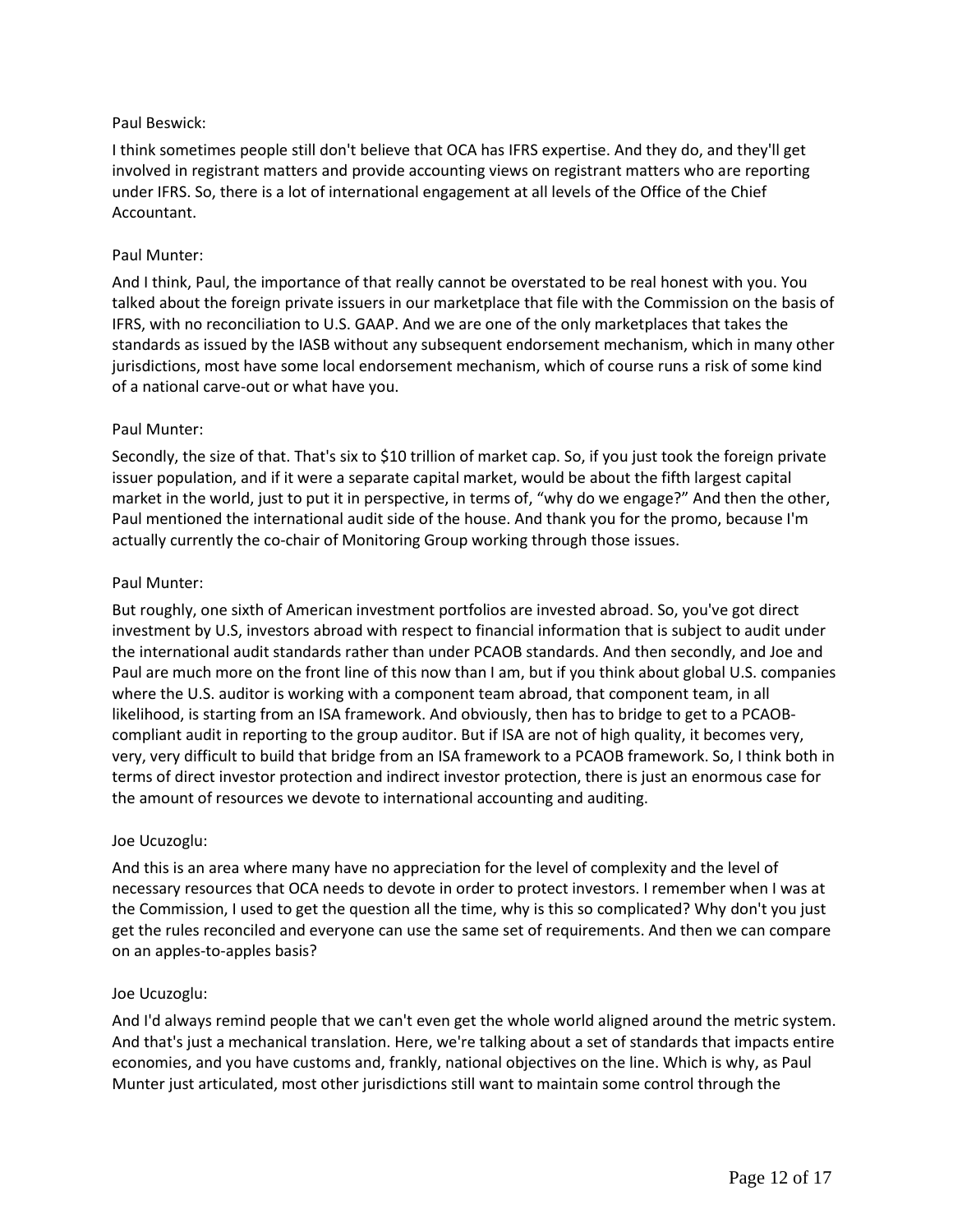# Paul Beswick:

I think sometimes people still don't believe that OCA has IFRS expertise. And they do, and they'll get involved in registrant matters and provide accounting views on registrant matters who are reporting under IFRS. So, there is a lot of international engagement at all levels of the Office of the Chief Accountant.

## Paul Munter:

And I think, Paul, the importance of that really cannot be overstated to be real honest with you. You talked about the foreign private issuers in our marketplace that file with the Commission on the basis of IFRS, with no reconciliation to U.S. GAAP. And we are one of the only marketplaces that takes the standards as issued by the IASB without any subsequent endorsement mechanism, which in many other jurisdictions, most have some local endorsement mechanism, which of course runs a risk of some kind of a national carve-out or what have you.

### Paul Munter:

Secondly, the size of that. That's six to \$10 trillion of market cap. So, if you just took the foreign private issuer population, and if it were a separate capital market, would be about the fifth largest capital market in the world, just to put it in perspective, in terms of, "why do we engage?" And then the other, Paul mentioned the international audit side of the house. And thank you for the promo, because I'm actually currently the co-chair of Monitoring Group working through those issues.

### Paul Munter:

But roughly, one sixth of American investment portfolios are invested abroad. So, you've got direct investment by U.S, investors abroad with respect to financial information that is subject to audit under the international audit standards rather than under PCAOB standards. And then secondly, and Joe and Paul are much more on the front line of this now than I am, but if you think about global U.S. companies where the U.S. auditor is working with a component team abroad, that component team, in all likelihood, is starting from an ISA framework. And obviously, then has to bridge to get to a PCAOBcompliant audit in reporting to the group auditor. But if ISA are not of high quality, it becomes very, very, very difficult to build that bridge from an ISA framework to a PCAOB framework. So, I think both in terms of direct investor protection and indirect investor protection, there is just an enormous case for the amount of resources we devote to international accounting and auditing.

## Joe Ucuzoglu:

And this is an area where many have no appreciation for the level of complexity and the level of necessary resources that OCA needs to devote in order to protect investors. I remember when I was at the Commission, I used to get the question all the time, why is this so complicated? Why don't you just get the rules reconciled and everyone can use the same set of requirements. And then we can compare on an apples-to-apples basis?

## Joe Ucuzoglu:

And I'd always remind people that we can't even get the whole world aligned around the metric system. And that's just a mechanical translation. Here, we're talking about a set of standards that impacts entire economies, and you have customs and, frankly, national objectives on the line. Which is why, as Paul Munter just articulated, most other jurisdictions still want to maintain some control through the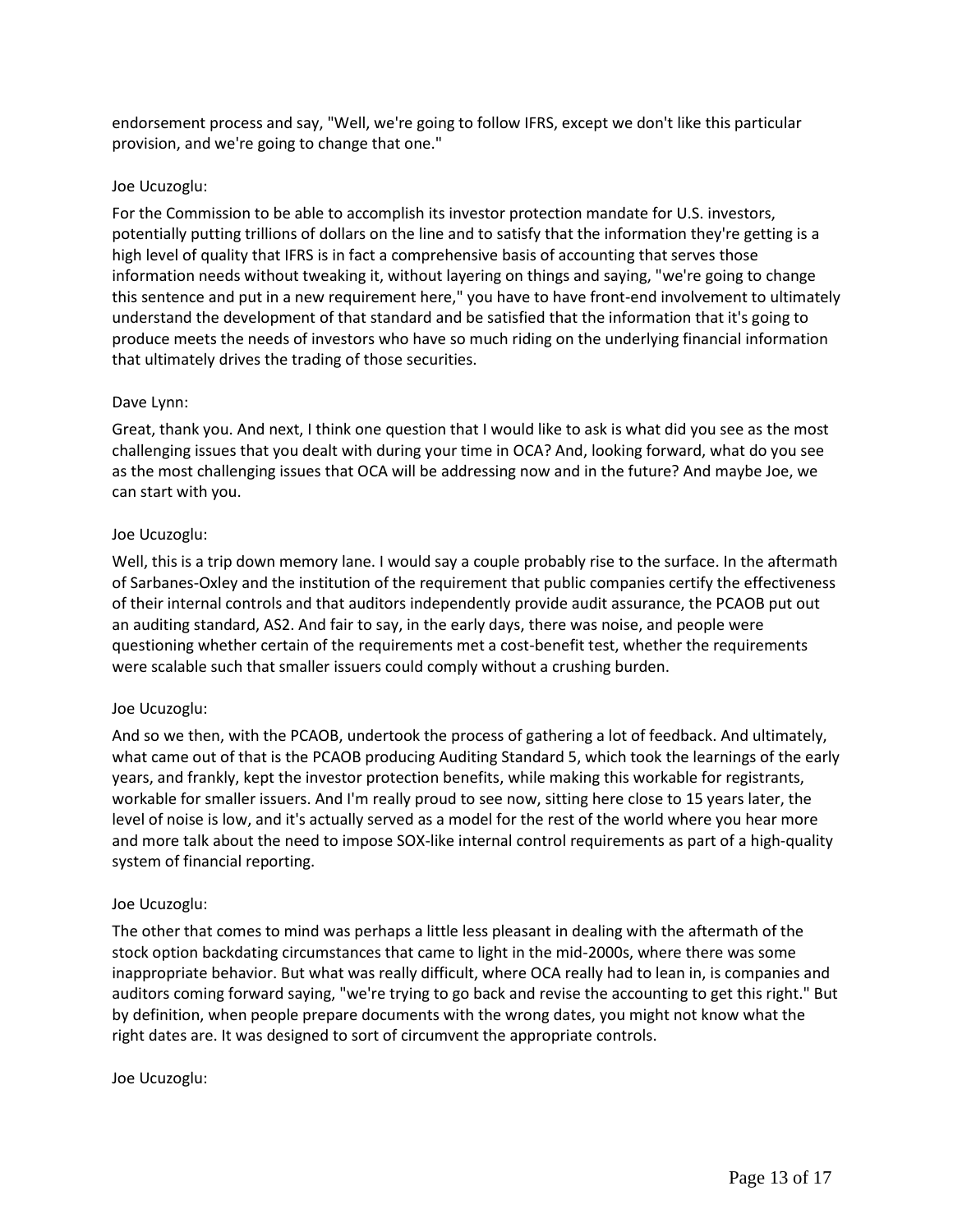endorsement process and say, "Well, we're going to follow IFRS, except we don't like this particular provision, and we're going to change that one."

## Joe Ucuzoglu:

For the Commission to be able to accomplish its investor protection mandate for U.S. investors, potentially putting trillions of dollars on the line and to satisfy that the information they're getting is a high level of quality that IFRS is in fact a comprehensive basis of accounting that serves those information needs without tweaking it, without layering on things and saying, "we're going to change this sentence and put in a new requirement here," you have to have front-end involvement to ultimately understand the development of that standard and be satisfied that the information that it's going to produce meets the needs of investors who have so much riding on the underlying financial information that ultimately drives the trading of those securities.

### Dave Lynn:

Great, thank you. And next, I think one question that I would like to ask is what did you see as the most challenging issues that you dealt with during your time in OCA? And, looking forward, what do you see as the most challenging issues that OCA will be addressing now and in the future? And maybe Joe, we can start with you.

### Joe Ucuzoglu:

Well, this is a trip down memory lane. I would say a couple probably rise to the surface. In the aftermath of Sarbanes-Oxley and the institution of the requirement that public companies certify the effectiveness of their internal controls and that auditors independently provide audit assurance, the PCAOB put out an auditing standard, AS2. And fair to say, in the early days, there was noise, and people were questioning whether certain of the requirements met a cost-benefit test, whether the requirements were scalable such that smaller issuers could comply without a crushing burden.

#### Joe Ucuzoglu:

And so we then, with the PCAOB, undertook the process of gathering a lot of feedback. And ultimately, what came out of that is the PCAOB producing Auditing Standard 5, which took the learnings of the early years, and frankly, kept the investor protection benefits, while making this workable for registrants, workable for smaller issuers. And I'm really proud to see now, sitting here close to 15 years later, the level of noise is low, and it's actually served as a model for the rest of the world where you hear more and more talk about the need to impose SOX-like internal control requirements as part of a high-quality system of financial reporting.

#### Joe Ucuzoglu:

The other that comes to mind was perhaps a little less pleasant in dealing with the aftermath of the stock option backdating circumstances that came to light in the mid-2000s, where there was some inappropriate behavior. But what was really difficult, where OCA really had to lean in, is companies and auditors coming forward saying, "we're trying to go back and revise the accounting to get this right." But by definition, when people prepare documents with the wrong dates, you might not know what the right dates are. It was designed to sort of circumvent the appropriate controls.

#### Joe Ucuzoglu: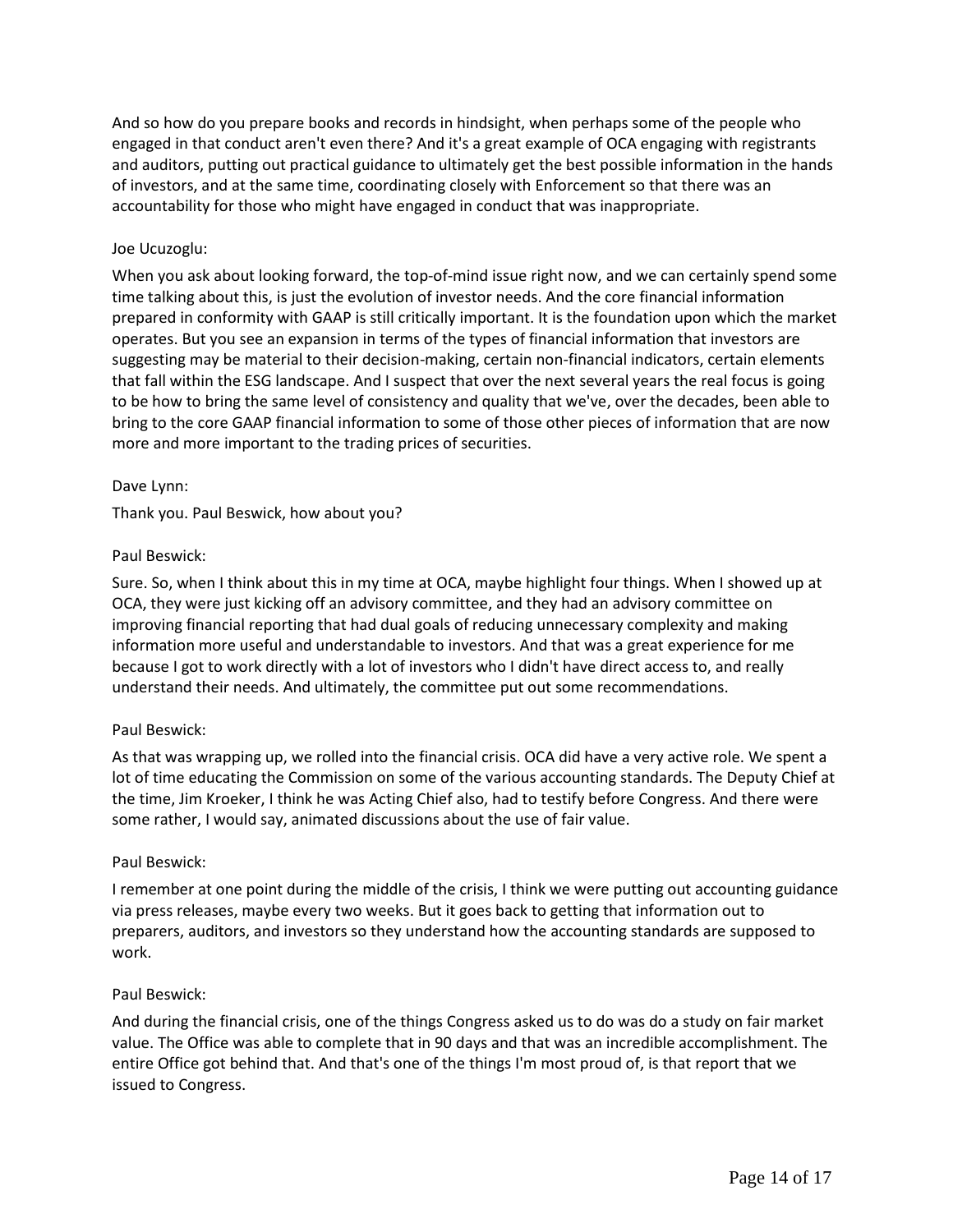And so how do you prepare books and records in hindsight, when perhaps some of the people who engaged in that conduct aren't even there? And it's a great example of OCA engaging with registrants and auditors, putting out practical guidance to ultimately get the best possible information in the hands of investors, and at the same time, coordinating closely with Enforcement so that there was an accountability for those who might have engaged in conduct that was inappropriate.

## Joe Ucuzoglu:

When you ask about looking forward, the top-of-mind issue right now, and we can certainly spend some time talking about this, is just the evolution of investor needs. And the core financial information prepared in conformity with GAAP is still critically important. It is the foundation upon which the market operates. But you see an expansion in terms of the types of financial information that investors are suggesting may be material to their decision-making, certain non-financial indicators, certain elements that fall within the ESG landscape. And I suspect that over the next several years the real focus is going to be how to bring the same level of consistency and quality that we've, over the decades, been able to bring to the core GAAP financial information to some of those other pieces of information that are now more and more important to the trading prices of securities.

## Dave Lynn:

Thank you. Paul Beswick, how about you?

### Paul Beswick:

Sure. So, when I think about this in my time at OCA, maybe highlight four things. When I showed up at OCA, they were just kicking off an advisory committee, and they had an advisory committee on improving financial reporting that had dual goals of reducing unnecessary complexity and making information more useful and understandable to investors. And that was a great experience for me because I got to work directly with a lot of investors who I didn't have direct access to, and really understand their needs. And ultimately, the committee put out some recommendations.

#### Paul Beswick:

As that was wrapping up, we rolled into the financial crisis. OCA did have a very active role. We spent a lot of time educating the Commission on some of the various accounting standards. The Deputy Chief at the time, Jim Kroeker, I think he was Acting Chief also, had to testify before Congress. And there were some rather, I would say, animated discussions about the use of fair value.

#### Paul Beswick:

I remember at one point during the middle of the crisis, I think we were putting out accounting guidance via press releases, maybe every two weeks. But it goes back to getting that information out to preparers, auditors, and investors so they understand how the accounting standards are supposed to work.

#### Paul Beswick:

And during the financial crisis, one of the things Congress asked us to do was do a study on fair market value. The Office was able to complete that in 90 days and that was an incredible accomplishment. The entire Office got behind that. And that's one of the things I'm most proud of, is that report that we issued to Congress.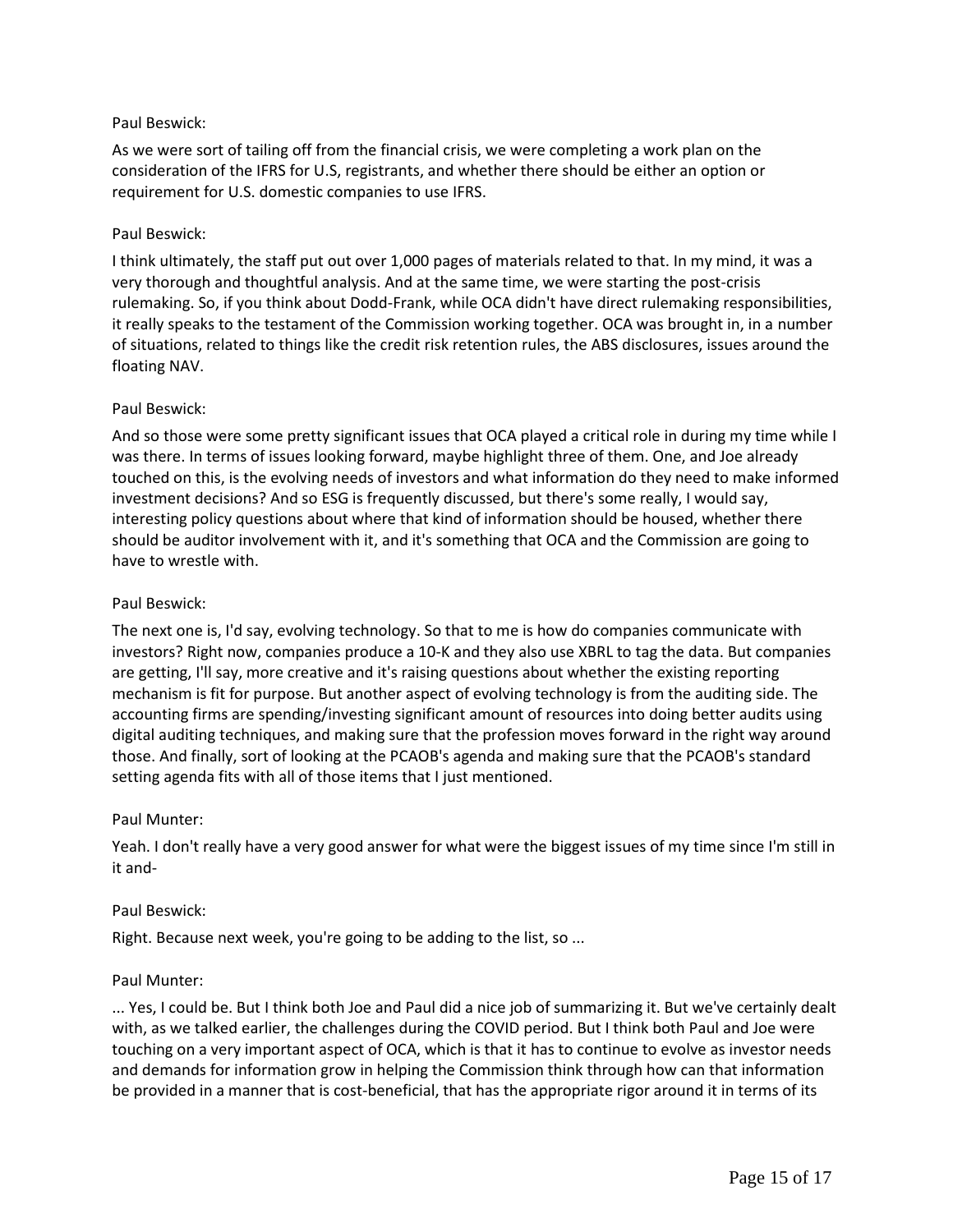## Paul Beswick:

As we were sort of tailing off from the financial crisis, we were completing a work plan on the consideration of the IFRS for U.S, registrants, and whether there should be either an option or requirement for U.S. domestic companies to use IFRS.

### Paul Beswick:

I think ultimately, the staff put out over 1,000 pages of materials related to that. In my mind, it was a very thorough and thoughtful analysis. And at the same time, we were starting the post-crisis rulemaking. So, if you think about Dodd-Frank, while OCA didn't have direct rulemaking responsibilities, it really speaks to the testament of the Commission working together. OCA was brought in, in a number of situations, related to things like the credit risk retention rules, the ABS disclosures, issues around the floating NAV.

### Paul Beswick:

And so those were some pretty significant issues that OCA played a critical role in during my time while I was there. In terms of issues looking forward, maybe highlight three of them. One, and Joe already touched on this, is the evolving needs of investors and what information do they need to make informed investment decisions? And so ESG is frequently discussed, but there's some really, I would say, interesting policy questions about where that kind of information should be housed, whether there should be auditor involvement with it, and it's something that OCA and the Commission are going to have to wrestle with.

### Paul Beswick:

The next one is, I'd say, evolving technology. So that to me is how do companies communicate with investors? Right now, companies produce a 10-K and they also use XBRL to tag the data. But companies are getting, I'll say, more creative and it's raising questions about whether the existing reporting mechanism is fit for purpose. But another aspect of evolving technology is from the auditing side. The accounting firms are spending/investing significant amount of resources into doing better audits using digital auditing techniques, and making sure that the profession moves forward in the right way around those. And finally, sort of looking at the PCAOB's agenda and making sure that the PCAOB's standard setting agenda fits with all of those items that I just mentioned.

#### Paul Munter:

Yeah. I don't really have a very good answer for what were the biggest issues of my time since I'm still in it and-

#### Paul Beswick:

Right. Because next week, you're going to be adding to the list, so ...

#### Paul Munter:

... Yes, I could be. But I think both Joe and Paul did a nice job of summarizing it. But we've certainly dealt with, as we talked earlier, the challenges during the COVID period. But I think both Paul and Joe were touching on a very important aspect of OCA, which is that it has to continue to evolve as investor needs and demands for information grow in helping the Commission think through how can that information be provided in a manner that is cost-beneficial, that has the appropriate rigor around it in terms of its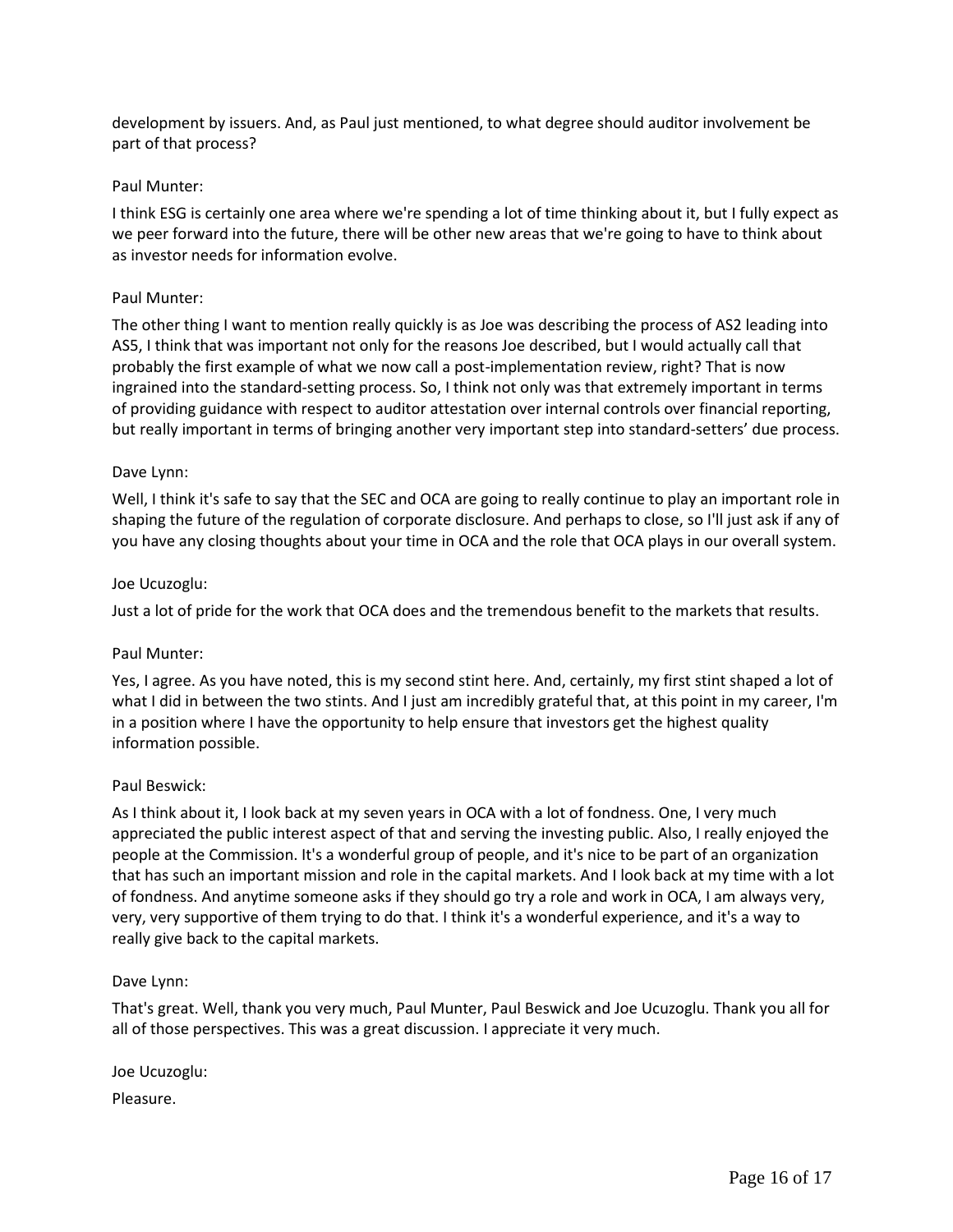development by issuers. And, as Paul just mentioned, to what degree should auditor involvement be part of that process?

### Paul Munter:

I think ESG is certainly one area where we're spending a lot of time thinking about it, but I fully expect as we peer forward into the future, there will be other new areas that we're going to have to think about as investor needs for information evolve.

#### Paul Munter:

The other thing I want to mention really quickly is as Joe was describing the process of AS2 leading into AS5, I think that was important not only for the reasons Joe described, but I would actually call that probably the first example of what we now call a post-implementation review, right? That is now ingrained into the standard-setting process. So, I think not only was that extremely important in terms of providing guidance with respect to auditor attestation over internal controls over financial reporting, but really important in terms of bringing another very important step into standard-setters' due process.

### Dave Lynn:

Well, I think it's safe to say that the SEC and OCA are going to really continue to play an important role in shaping the future of the regulation of corporate disclosure. And perhaps to close, so I'll just ask if any of you have any closing thoughts about your time in OCA and the role that OCA plays in our overall system.

### Joe Ucuzoglu:

Just a lot of pride for the work that OCA does and the tremendous benefit to the markets that results.

#### Paul Munter:

Yes, I agree. As you have noted, this is my second stint here. And, certainly, my first stint shaped a lot of what I did in between the two stints. And I just am incredibly grateful that, at this point in my career, I'm in a position where I have the opportunity to help ensure that investors get the highest quality information possible.

#### Paul Beswick:

As I think about it, I look back at my seven years in OCA with a lot of fondness. One, I very much appreciated the public interest aspect of that and serving the investing public. Also, I really enjoyed the people at the Commission. It's a wonderful group of people, and it's nice to be part of an organization that has such an important mission and role in the capital markets. And I look back at my time with a lot of fondness. And anytime someone asks if they should go try a role and work in OCA, I am always very, very, very supportive of them trying to do that. I think it's a wonderful experience, and it's a way to really give back to the capital markets.

#### Dave Lynn:

That's great. Well, thank you very much, Paul Munter, Paul Beswick and Joe Ucuzoglu. Thank you all for all of those perspectives. This was a great discussion. I appreciate it very much.

Joe Ucuzoglu:

Pleasure.